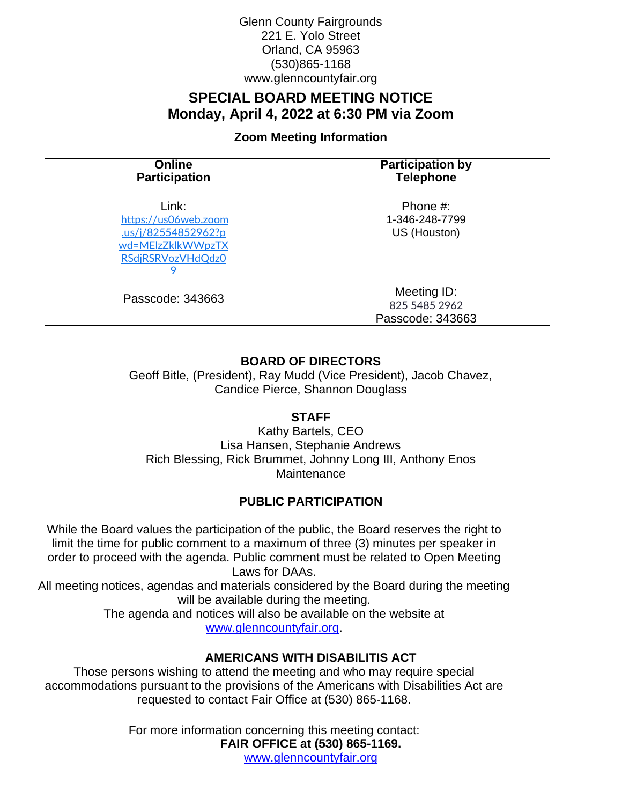## Glenn County Fairgrounds 221 E. Yolo Street Orland, CA 95963 (530)865-1168 www.glenncountyfair.org

# **SPECIAL BOARD MEETING NOTICE Monday, April 4, 2022 at 6:30 PM via Zoom**

# **Zoom Meeting Information**

| <b>Online</b><br><b>Participation</b>                                                         | <b>Participation by</b><br><b>Telephone</b>      |
|-----------------------------------------------------------------------------------------------|--------------------------------------------------|
| Link:<br>https://us06web.zoom<br>us/j/82554852962?p<br>wd=MElzZklkWWpzTX<br>RSdjRSRVozVHdQdz0 | Phone #:<br>1-346-248-7799<br>US (Houston)       |
| Passcode: 343663                                                                              | Meeting ID:<br>825 5485 2962<br>Passcode: 343663 |

# **BOARD OF DIRECTORS**

Geoff Bitle, (President), Ray Mudd (Vice President), Jacob Chavez, Candice Pierce, Shannon Douglass

## **STAFF**

Kathy Bartels, CEO Lisa Hansen, Stephanie Andrews Rich Blessing, Rick Brummet, Johnny Long III, Anthony Enos Maintenance

# **PUBLIC PARTICIPATION**

While the Board values the participation of the public, the Board reserves the right to limit the time for public comment to a maximum of three (3) minutes per speaker in order to proceed with the agenda. Public comment must be related to Open Meeting Laws for DAAs.

All meeting notices, agendas and materials considered by the Board during the meeting will be available during the meeting.

> The agenda and notices will also be available on the website at [www.glenncountyfair.org.](http://www.glenncountyfair.org/)

## **AMERICANS WITH DISABILITIS ACT**

Those persons wishing to attend the meeting and who may require special accommodations pursuant to the provisions of the Americans with Disabilities Act are requested to contact Fair Office at (530) 865-1168.

> For more information concerning this meeting contact: **FAIR OFFICE at (530) 865-1169.** www.glenncountyfair.org